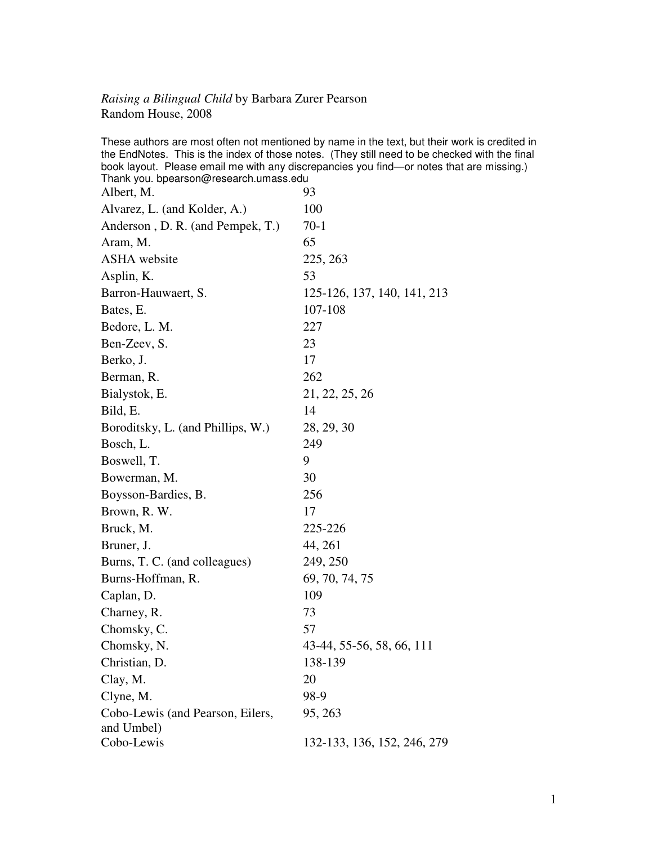## *Raising a Bilingual Child* by Barbara Zurer Pearson Random House, 2008

These authors are most often not mentioned by name in the text, but their work is credited in the EndNotes. This is the index of those notes. (They still need to be checked with the final book layout. Please email me with any discrepancies you find—or notes that are missing.) Thank you. bpearson@research.umass.edu Albert, M. 93 Alvarez, L. (and Kolder, A.) 100 Anderson, D. R. (and Pempek, T.) 70-1 Aram, M. 65 ASHA website 225, 263 Asplin, K. 53 Barron-Hauwaert, S. 125-126, 137, 140, 141, 213 Bates, E. 107-108 Bedore, L. M. 227 Ben-Zeev, S. 23 Berko, J. 17 Berman, R. 262 Bialystok, E. 21, 22, 25, 26 Bild, E. 14 Boroditsky, L. (and Phillips, W.) 28, 29, 30 Bosch, L. 249 Boswell, T. 9 Bowerman, M. 30 Boysson-Bardies, B. 256 Brown, R. W. 17 Bruck, M. 225-226 Bruner, J. 44, 261 Burns, T. C. (and colleagues) 249, 250 Burns-Hoffman, R. 69, 70, 74, 75 Caplan, D. 109 Charney, R. 23 Chomsky, C. 57 Chomsky, N. 43-44, 55-56, 58, 66, 111 Christian, D. 138-139  $Clay, M.$  20 Clyne, M. 98-9 Cobo-Lewis (and Pearson, Eilers, and Umbel) 95, 263 Cobo-Lewis 132-133, 136, 152, 246, 279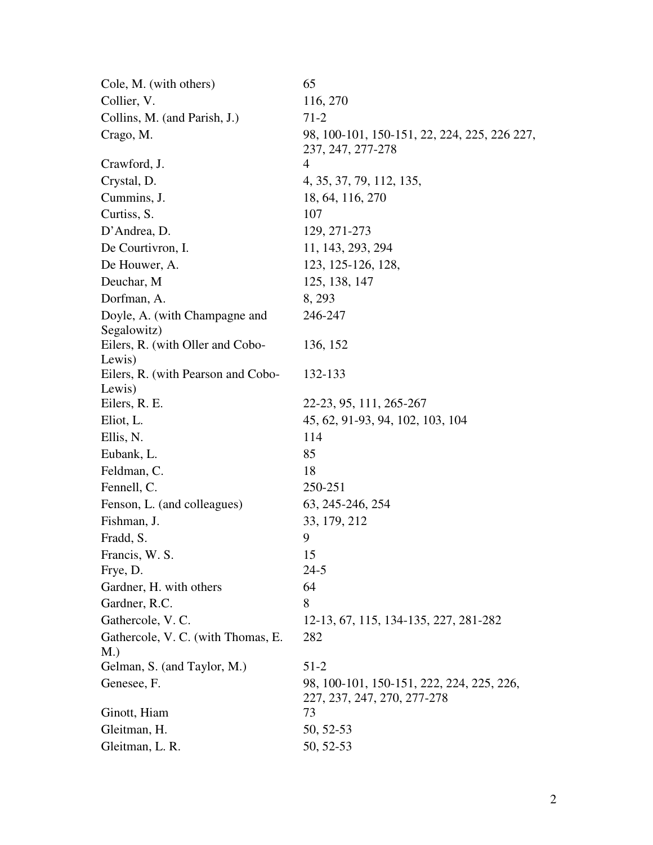| Cole, M. (with others)                       | 65                                                                       |
|----------------------------------------------|--------------------------------------------------------------------------|
| Collier, V.                                  | 116, 270                                                                 |
| Collins, M. (and Parish, J.)                 | $71-2$                                                                   |
| Crago, M.                                    | 98, 100-101, 150-151, 22, 224, 225, 226 227,<br>237, 247, 277-278        |
| Crawford, J.                                 | 4                                                                        |
| Crystal, D.                                  | 4, 35, 37, 79, 112, 135,                                                 |
| Cummins, J.                                  | 18, 64, 116, 270                                                         |
| Curtiss, S.                                  | 107                                                                      |
| D'Andrea, D.                                 | 129, 271-273                                                             |
| De Courtivron, I.                            | 11, 143, 293, 294                                                        |
| De Houwer, A.                                | 123, 125-126, 128,                                                       |
| Deuchar, M                                   | 125, 138, 147                                                            |
| Dorfman, A.                                  | 8, 293                                                                   |
| Doyle, A. (with Champagne and<br>Segalowitz) | 246-247                                                                  |
| Eilers, R. (with Oller and Cobo-<br>Lewis)   | 136, 152                                                                 |
| Eilers, R. (with Pearson and Cobo-<br>Lewis) | 132-133                                                                  |
| Eilers, R. E.                                | 22-23, 95, 111, 265-267                                                  |
| Eliot, L.                                    | 45, 62, 91-93, 94, 102, 103, 104                                         |
| Ellis, N.                                    | 114                                                                      |
| Eubank, L.                                   | 85                                                                       |
| Feldman, C.                                  | 18                                                                       |
| Fennell, C.                                  | 250-251                                                                  |
| Fenson, L. (and colleagues)                  | 63, 245-246, 254                                                         |
| Fishman, J.                                  | 33, 179, 212                                                             |
| Fradd, S.                                    | 9                                                                        |
| Francis, W. S.                               | 15                                                                       |
| Frye, D.                                     | $24 - 5$                                                                 |
| Gardner, H. with others                      | 64                                                                       |
| Gardner, R.C.                                | 8                                                                        |
| Gathercole, V.C.                             | 12-13, 67, 115, 134-135, 227, 281-282                                    |
| Gathercole, V. C. (with Thomas, E.<br>M.)    | 282                                                                      |
| Gelman, S. (and Taylor, M.)                  | $51-2$                                                                   |
| Genesee, F.                                  | 98, 100-101, 150-151, 222, 224, 225, 226,<br>227, 237, 247, 270, 277-278 |
| Ginott, Hiam                                 | 73                                                                       |
| Gleitman, H.                                 | 50, 52-53                                                                |
| Gleitman, L. R.                              | 50, 52-53                                                                |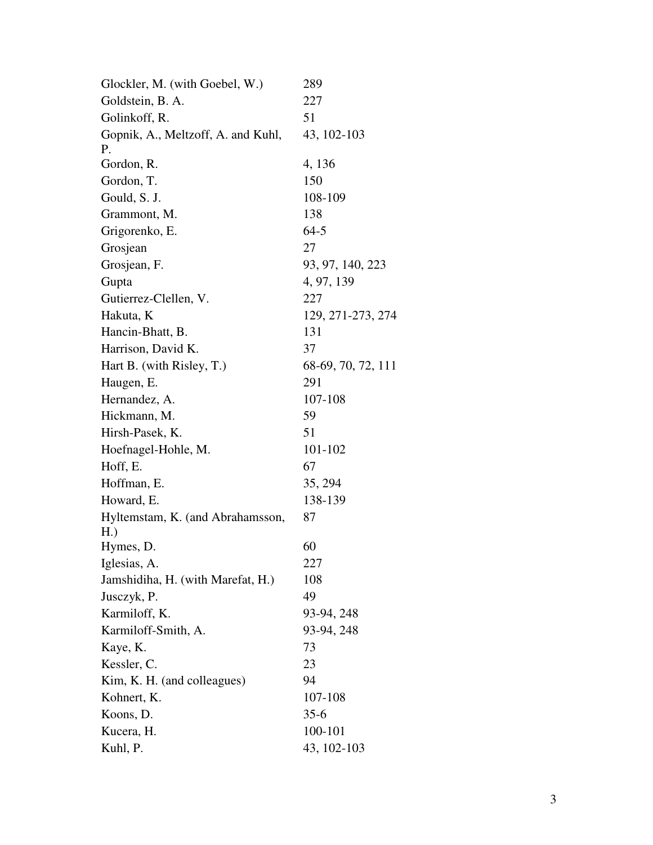| Glockler, M. (with Goebel, W.)     | 289                |
|------------------------------------|--------------------|
| Goldstein, B. A.                   | 227                |
| Golinkoff, R.                      | 51                 |
| Gopnik, A., Meltzoff, A. and Kuhl, | 43, 102-103        |
| Ρ.                                 |                    |
| Gordon, R.                         | 4, 136             |
| Gordon, T.                         | 150                |
| Gould, S. J.                       | 108-109            |
| Grammont, M.                       | 138                |
| Grigorenko, E.                     | $64-5$             |
| Grosjean                           | 27                 |
| Grosjean, F.                       | 93, 97, 140, 223   |
| Gupta                              | 4, 97, 139         |
| Gutierrez-Clellen, V.              | 227                |
| Hakuta, K                          | 129, 271-273, 274  |
| Hancin-Bhatt, B.                   | 131                |
| Harrison, David K.                 | 37                 |
| Hart B. (with Risley, T.)          | 68-69, 70, 72, 111 |
| Haugen, E.                         | 291                |
| Hernandez, A.                      | 107-108            |
| Hickmann, M.                       | 59                 |
| Hirsh-Pasek, K.                    | 51                 |
| Hoefnagel-Hohle, M.                | 101-102            |
| Hoff, E.                           | 67                 |
| Hoffman, E.                        | 35, 294            |
| Howard, E.                         | 138-139            |
| Hyltemstam, K. (and Abrahamsson,   | 87                 |
| H.)                                |                    |
| Hymes, D.                          | 60                 |
| Iglesias, A.                       | 227                |
| Jamshidiha, H. (with Marefat, H.)  | 108                |
| Jusczyk, P.                        | 49                 |
| Karmiloff, K.                      | 93-94, 248         |
| Karmiloff-Smith, A.                | 93-94, 248         |
| Kaye, K.                           | 73                 |
| Kessler, C.                        | 23                 |
| Kim, K. H. (and colleagues)        | 94                 |
| Kohnert, K.                        | 107-108            |
| Koons, D.                          | $35-6$             |
| Kucera, H.                         | 100-101            |
| Kuhl, P.                           | 43, 102-103        |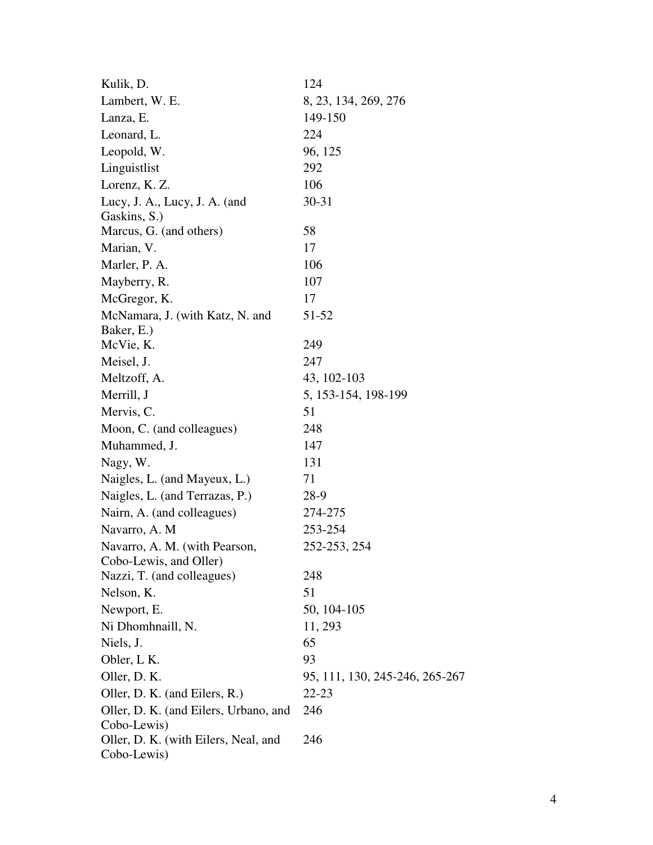| Kulik, D.                             | 124                            |
|---------------------------------------|--------------------------------|
| Lambert, W. E.                        | 8, 23, 134, 269, 276           |
| Lanza, E.                             | 149-150                        |
| Leonard, L.                           | 224                            |
| Leopold, W.                           | 96, 125                        |
| Linguistlist                          | 292                            |
| Lorenz, K. Z.                         | 106                            |
| Lucy, J. A., Lucy, J. A. (and         | $30 - 31$                      |
| Gaskins, S.)                          |                                |
| Marcus, G. (and others)               | 58                             |
| Marian, V.                            | 17                             |
| Marler, P. A.                         | 106                            |
| Mayberry, R.                          | 107                            |
| McGregor, K.                          | 17                             |
| McNamara, J. (with Katz, N. and       | 51-52                          |
| Baker, E.)                            |                                |
| McVie, K.                             | 249                            |
| Meisel, J.                            | 247                            |
| Meltzoff, A.                          | 43, 102-103                    |
| Merrill, J                            | 5, 153-154, 198-199            |
| Mervis, C.                            | 51                             |
| Moon, C. (and colleagues)             | 248                            |
| Muhammed, J.                          | 147                            |
| Nagy, W.                              | 131                            |
| Naigles, L. (and Mayeux, L.)          | 71                             |
| Naigles, L. (and Terrazas, P.)        | 28-9                           |
| Nairn, A. (and colleagues)            | 274-275                        |
| Navarro, A. M                         | 253-254                        |
| Navarro, A. M. (with Pearson,         | 252-253, 254                   |
| Cobo-Lewis, and Oller)                |                                |
| Nazzi, T. (and colleagues)            | 248                            |
| Nelson, K.                            | 51                             |
| Newport, E.                           | 50, 104-105                    |
| Ni Dhomhnaill, N.                     | 11, 293                        |
| Niels, J.                             | 65                             |
| Obler, L K.                           | 93                             |
| Oller, D. K.                          | 95, 111, 130, 245-246, 265-267 |
| Oller, D. K. (and Eilers, R.)         | 22-23                          |
| Oller, D. K. (and Eilers, Urbano, and | 246                            |
| Cobo-Lewis)                           |                                |
| Oller, D. K. (with Eilers, Neal, and  | 246                            |
| Cobo-Lewis)                           |                                |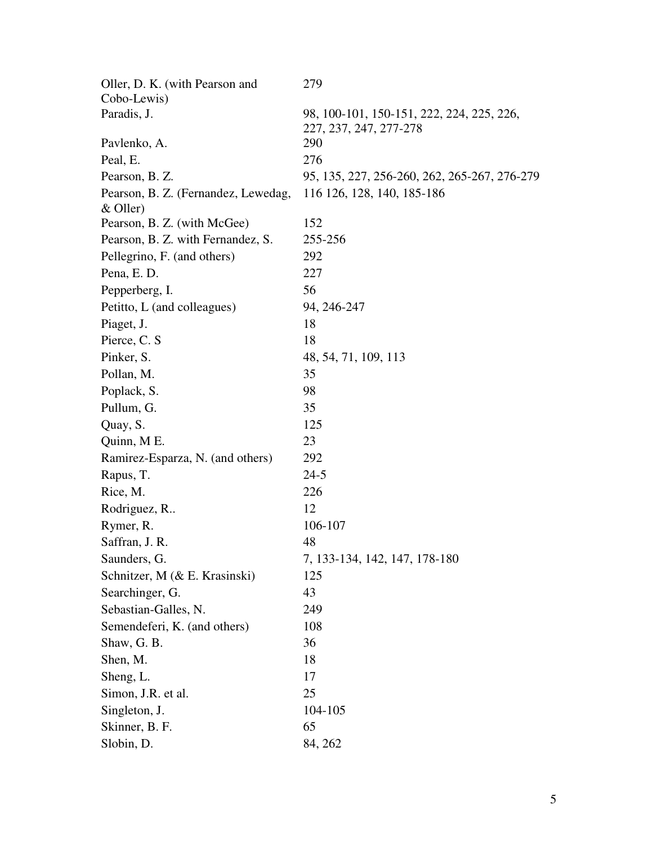| Oller, D. K. (with Pearson and      | 279                                                                 |
|-------------------------------------|---------------------------------------------------------------------|
| Cobo-Lewis)                         |                                                                     |
| Paradis, J.                         | 98, 100-101, 150-151, 222, 224, 225, 226,<br>227, 237, 247, 277-278 |
| Pavlenko, A.                        | 290                                                                 |
| Peal, E.                            | 276                                                                 |
| Pearson, B. Z.                      | 95, 135, 227, 256-260, 262, 265-267, 276-279                        |
| Pearson, B. Z. (Fernandez, Lewedag, | 116 126, 128, 140, 185-186                                          |
| $&$ Oller)                          |                                                                     |
| Pearson, B. Z. (with McGee)         | 152                                                                 |
| Pearson, B. Z. with Fernandez, S.   | 255-256                                                             |
| Pellegrino, F. (and others)         | 292                                                                 |
| Pena, E. D.                         | 227                                                                 |
| Pepperberg, I.                      | 56                                                                  |
| Petitto, L (and colleagues)         | 94, 246-247                                                         |
| Piaget, J.                          | 18                                                                  |
| Pierce, C. S.                       | 18                                                                  |
| Pinker, S.                          | 48, 54, 71, 109, 113                                                |
| Pollan, M.                          | 35                                                                  |
| Poplack, S.                         | 98                                                                  |
| Pullum, G.                          | 35                                                                  |
| Quay, S.                            | 125                                                                 |
| Quinn, M E.                         | 23                                                                  |
| Ramirez-Esparza, N. (and others)    | 292                                                                 |
| Rapus, T.                           | $24 - 5$                                                            |
| Rice, M.                            | 226                                                                 |
| Rodriguez, R                        | 12                                                                  |
| Rymer, R.                           | 106-107                                                             |
| Saffran, J. R.                      | 48                                                                  |
| Saunders, G.                        | 7, 133-134, 142, 147, 178-180                                       |
| Schnitzer, M (& E. Krasinski)       | 125                                                                 |
| Searchinger, G.                     | 43                                                                  |
| Sebastian-Galles, N.                | 249                                                                 |
| Semendeferi, K. (and others)        | 108                                                                 |
| Shaw, G. B.                         | 36                                                                  |
| Shen, M.                            | 18                                                                  |
| Sheng, L.                           | 17                                                                  |
| Simon, J.R. et al.                  | 25                                                                  |
| Singleton, J.                       | 104-105                                                             |
| Skinner, B. F.                      | 65                                                                  |
| Slobin, D.                          | 84, 262                                                             |
|                                     |                                                                     |